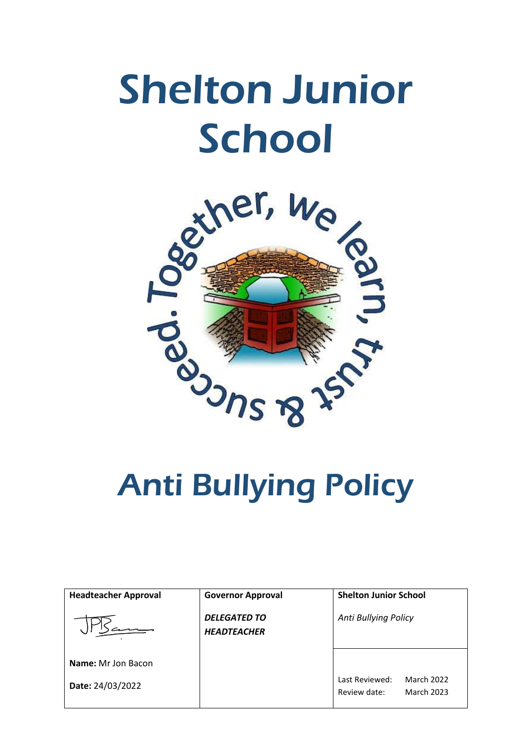# Shelton Junior School



| <b>Headteacher Approval</b> | <b>Governor Approval</b>                  | <b>Shelton Junior School</b>                                             |
|-----------------------------|-------------------------------------------|--------------------------------------------------------------------------|
|                             | <b>DELEGATED TO</b><br><b>HEADTEACHER</b> | Anti Bullying Policy                                                     |
| <b>Name:</b> Mr Jon Bacon   |                                           |                                                                          |
| Date: 24/03/2022            |                                           | <b>March 2022</b><br>Last Reviewed:<br>Review date:<br><b>March 2023</b> |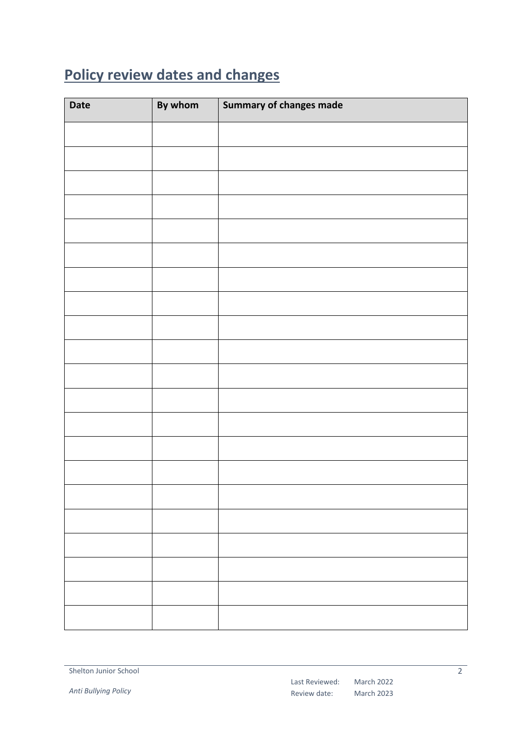## <span id="page-1-0"></span>**Policy review dates and changes**

| Date | By whom | Summary of changes made |
|------|---------|-------------------------|
|      |         |                         |
|      |         |                         |
|      |         |                         |
|      |         |                         |
|      |         |                         |
|      |         |                         |
|      |         |                         |
|      |         |                         |
|      |         |                         |
|      |         |                         |
|      |         |                         |
|      |         |                         |
|      |         |                         |
|      |         |                         |
|      |         |                         |
|      |         |                         |
|      |         |                         |
|      |         |                         |
|      |         |                         |
|      |         |                         |
|      |         |                         |

*Anti Bullying Policy*

 $\overline{2}$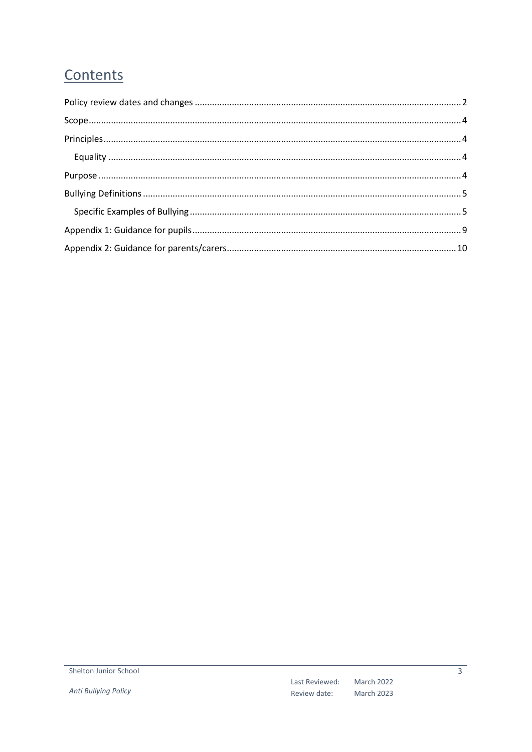### Contents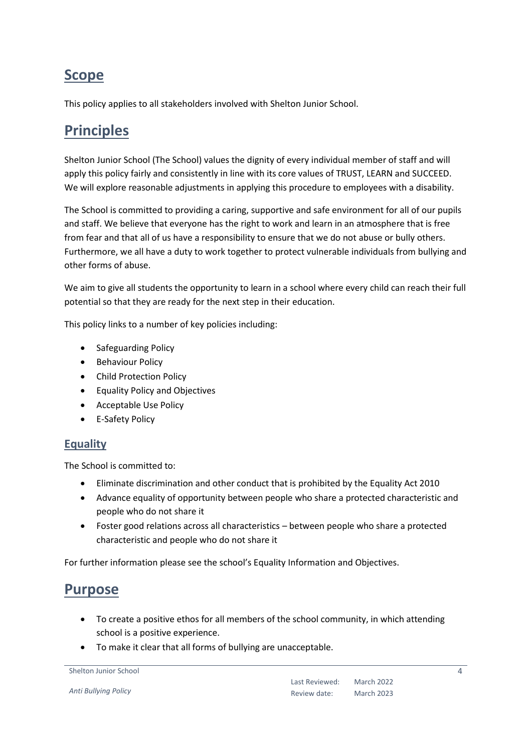### <span id="page-3-0"></span>**Scope**

This policy applies to all stakeholders involved with Shelton Junior School.

### <span id="page-3-1"></span>**Principles**

Shelton Junior School (The School) values the dignity of every individual member of staff and will apply this policy fairly and consistently in line with its core values of TRUST, LEARN and SUCCEED. We will explore reasonable adjustments in applying this procedure to employees with a disability.

The School is committed to providing a caring, supportive and safe environment for all of our pupils and staff. We believe that everyone has the right to work and learn in an atmosphere that is free from fear and that all of us have a responsibility to ensure that we do not abuse or bully others. Furthermore, we all have a duty to work together to protect vulnerable individuals from bullying and other forms of abuse.

We aim to give all students the opportunity to learn in a school where every child can reach their full potential so that they are ready for the next step in their education.

This policy links to a number of key policies including:

- Safeguarding Policy
- Behaviour Policy
- Child Protection Policy
- Equality Policy and Objectives
- Acceptable Use Policy
- E-Safety Policy

### <span id="page-3-2"></span>**Equality**

The School is committed to:

- Eliminate discrimination and other conduct that is prohibited by the Equality Act 2010
- Advance equality of opportunity between people who share a protected characteristic and people who do not share it
- Foster good relations across all characteristics between people who share a protected characteristic and people who do not share it

For further information please see the school's Equality Information and Objectives.

### <span id="page-3-3"></span>**Purpose**

- To create a positive ethos for all members of the school community, in which attending school is a positive experience.
- To make it clear that all forms of bullying are unacceptable.

```
Shelton Junior School
```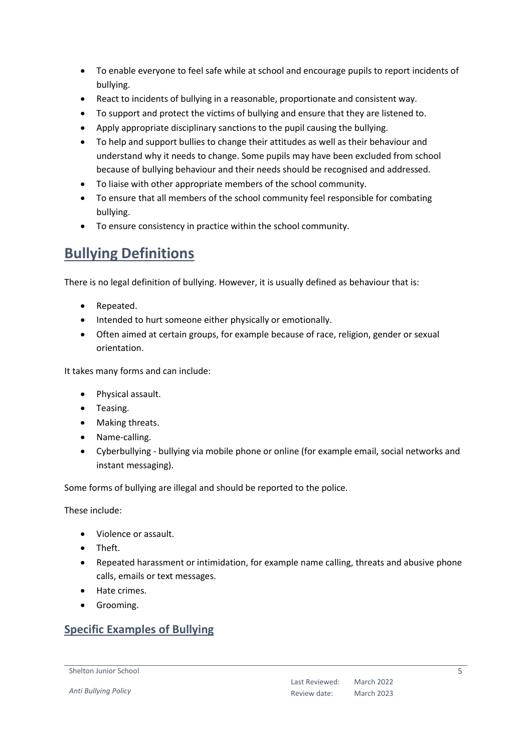- To enable everyone to feel safe while at school and encourage pupils to report incidents of bullying.
- React to incidents of bullying in a reasonable, proportionate and consistent way.
- To support and protect the victims of bullying and ensure that they are listened to.
- Apply appropriate disciplinary sanctions to the pupil causing the bullying.
- To help and support bullies to change their attitudes as well as their behaviour and understand why it needs to change. Some pupils may have been excluded from school because of bullying behaviour and their needs should be recognised and addressed.
- To liaise with other appropriate members of the school community.
- To ensure that all members of the school community feel responsible for combating bullying.
- To ensure consistency in practice within the school community.

### <span id="page-4-0"></span>**Bullying Definitions**

There is no legal definition of bullying. However, it is usually defined as behaviour that is:

- Repeated.
- Intended to hurt someone either physically or emotionally.
- Often aimed at certain groups, for example because of race, religion, gender or sexual orientation.

It takes many forms and can include:

- Physical assault.
- Teasing.
- Making threats.
- Name-calling.
- Cyberbullying bullying via mobile phone or online (for example email, social networks and instant messaging).

Some forms of bullying are illegal and should be reported to the police.

These include:

- Violence or assault.
- Theft.
- Repeated harassment or intimidation, for example name calling, threats and abusive phone calls, emails or text messages.
- Hate crimes.
- **•** Grooming.

#### <span id="page-4-1"></span>**Specific Examples of Bullying**

Shelton Junior School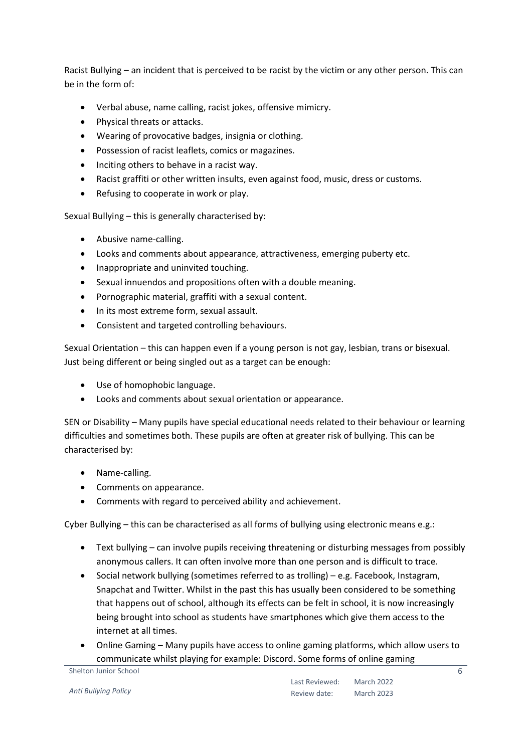Racist Bullying – an incident that is perceived to be racist by the victim or any other person. This can be in the form of:

- Verbal abuse, name calling, racist jokes, offensive mimicry.
- Physical threats or attacks.
- Wearing of provocative badges, insignia or clothing.
- Possession of racist leaflets, comics or magazines.
- Inciting others to behave in a racist way.
- Racist graffiti or other written insults, even against food, music, dress or customs.
- Refusing to cooperate in work or play.

Sexual Bullying – this is generally characterised by:

- Abusive name-calling.
- Looks and comments about appearance, attractiveness, emerging puberty etc.
- Inappropriate and uninvited touching.
- Sexual innuendos and propositions often with a double meaning.
- Pornographic material, graffiti with a sexual content.
- In its most extreme form, sexual assault.
- Consistent and targeted controlling behaviours.

Sexual Orientation – this can happen even if a young person is not gay, lesbian, trans or bisexual. Just being different or being singled out as a target can be enough:

- Use of homophobic language.
- Looks and comments about sexual orientation or appearance.

SEN or Disability – Many pupils have special educational needs related to their behaviour or learning difficulties and sometimes both. These pupils are often at greater risk of bullying. This can be characterised by:

- Name-calling.
- Comments on appearance.
- Comments with regard to perceived ability and achievement.

Cyber Bullying – this can be characterised as all forms of bullying using electronic means e.g.:

- Text bullying can involve pupils receiving threatening or disturbing messages from possibly anonymous callers. It can often involve more than one person and is difficult to trace.
- Social network bullying (sometimes referred to as trolling) e.g. Facebook, Instagram, Snapchat and Twitter. Whilst in the past this has usually been considered to be something that happens out of school, although its effects can be felt in school, it is now increasingly being brought into school as students have smartphones which give them access to the internet at all times.
- Online Gaming Many pupils have access to online gaming platforms, which allow users to communicate whilst playing for example: Discord. Some forms of online gaming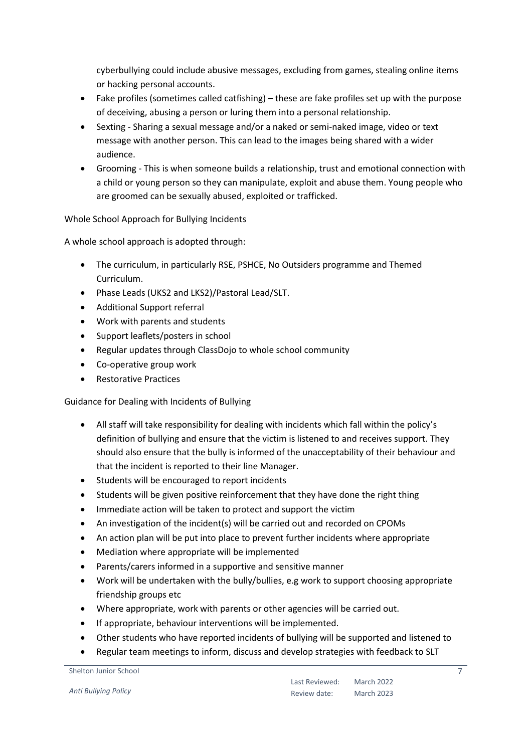cyberbullying could include abusive messages, excluding from games, stealing online items or hacking personal accounts.

- Fake profiles (sometimes called catfishing) these are fake profiles set up with the purpose of deceiving, abusing a person or luring them into a personal relationship.
- Sexting Sharing a sexual message and/or a naked or semi-naked image, video or text message with another person. This can lead to the images being shared with a wider audience.
- Grooming This is when someone builds a relationship, trust and emotional connection with a child or young person so they can manipulate, exploit and abuse them. Young people who are groomed can be sexually abused, exploited or trafficked.

#### Whole School Approach for Bullying Incidents

A whole school approach is adopted through:

- The curriculum, in particularly RSE, PSHCE, No Outsiders programme and Themed Curriculum.
- Phase Leads (UKS2 and LKS2)/Pastoral Lead/SLT.
- Additional Support referral
- Work with parents and students
- Support leaflets/posters in school
- Regular updates through ClassDojo to whole school community
- Co-operative group work
- Restorative Practices

Guidance for Dealing with Incidents of Bullying

- All staff will take responsibility for dealing with incidents which fall within the policy's definition of bullying and ensure that the victim is listened to and receives support. They should also ensure that the bully is informed of the unacceptability of their behaviour and that the incident is reported to their line Manager.
- Students will be encouraged to report incidents
- Students will be given positive reinforcement that they have done the right thing
- Immediate action will be taken to protect and support the victim
- An investigation of the incident(s) will be carried out and recorded on CPOMs
- An action plan will be put into place to prevent further incidents where appropriate
- Mediation where appropriate will be implemented
- Parents/carers informed in a supportive and sensitive manner
- Work will be undertaken with the bully/bullies, e.g work to support choosing appropriate friendship groups etc
- Where appropriate, work with parents or other agencies will be carried out.
- If appropriate, behaviour interventions will be implemented.
- Other students who have reported incidents of bullying will be supported and listened to
- Regular team meetings to inform, discuss and develop strategies with feedback to SLT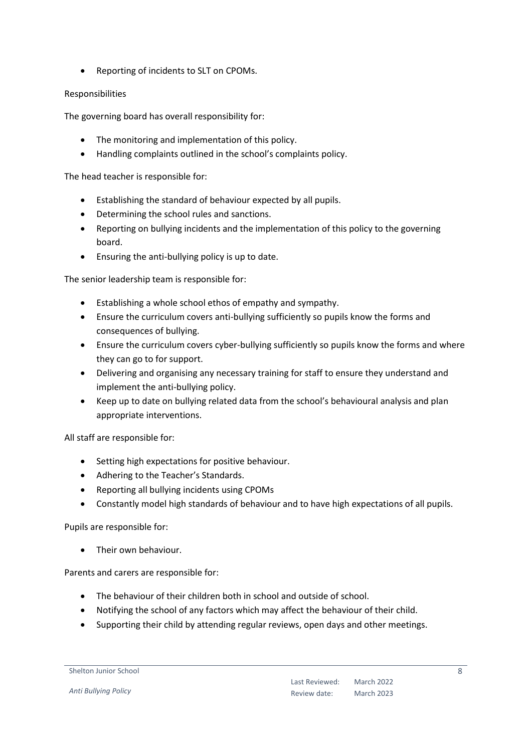Reporting of incidents to SLT on CPOMs.

#### Responsibilities

The governing board has overall responsibility for:

- The monitoring and implementation of this policy.
- Handling complaints outlined in the school's complaints policy.

The head teacher is responsible for:

- Establishing the standard of behaviour expected by all pupils.
- Determining the school rules and sanctions.
- Reporting on bullying incidents and the implementation of this policy to the governing board.
- Ensuring the anti-bullying policy is up to date.

The senior leadership team is responsible for:

- Establishing a whole school ethos of empathy and sympathy.
- Ensure the curriculum covers anti-bullying sufficiently so pupils know the forms and consequences of bullying.
- Ensure the curriculum covers cyber-bullying sufficiently so pupils know the forms and where they can go to for support.
- Delivering and organising any necessary training for staff to ensure they understand and implement the anti-bullying policy.
- Keep up to date on bullying related data from the school's behavioural analysis and plan appropriate interventions.

All staff are responsible for:

- Setting high expectations for positive behaviour.
- Adhering to the Teacher's Standards.
- Reporting all bullying incidents using CPOMs
- Constantly model high standards of behaviour and to have high expectations of all pupils.

#### Pupils are responsible for:

• Their own behaviour.

Parents and carers are responsible for:

- The behaviour of their children both in school and outside of school.
- Notifying the school of any factors which may affect the behaviour of their child.
- Supporting their child by attending regular reviews, open days and other meetings.

#### Shelton Junior School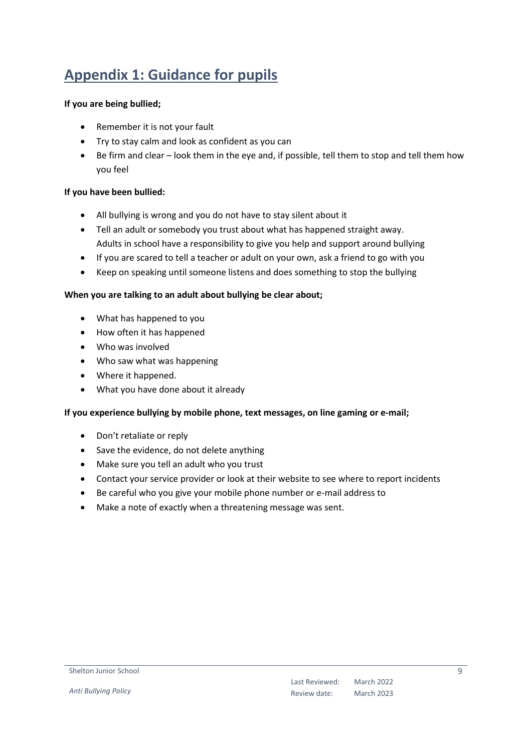### <span id="page-8-0"></span>**Appendix 1: Guidance for pupils**

#### **If you are being bullied;**

- Remember it is not your fault
- Try to stay calm and look as confident as you can
- Be firm and clear look them in the eye and, if possible, tell them to stop and tell them how you feel

#### **If you have been bullied:**

- All bullying is wrong and you do not have to stay silent about it
- Tell an adult or somebody you trust about what has happened straight away. Adults in school have a responsibility to give you help and support around bullying
- If you are scared to tell a teacher or adult on your own, ask a friend to go with you
- Keep on speaking until someone listens and does something to stop the bullying

#### **When you are talking to an adult about bullying be clear about;**

- What has happened to you
- How often it has happened
- Who was involved
- Who saw what was happening
- Where it happened.
- What you have done about it already

#### **If you experience bullying by mobile phone, text messages, on line gaming or e-mail;**

- Don't retaliate or reply
- Save the evidence, do not delete anything
- Make sure you tell an adult who you trust
- Contact your service provider or look at their website to see where to report incidents
- Be careful who you give your mobile phone number or e-mail address to
- Make a note of exactly when a threatening message was sent.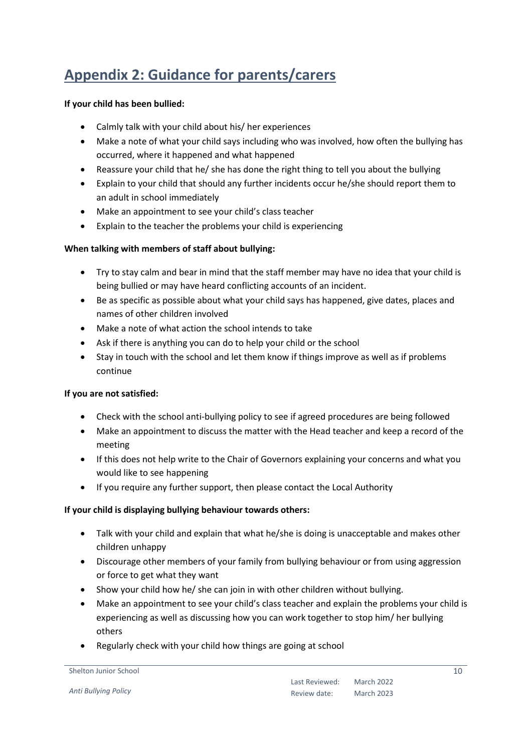### <span id="page-9-0"></span>**Appendix 2: Guidance for parents/carers**

#### **If your child has been bullied:**

- Calmly talk with your child about his/ her experiences
- Make a note of what your child says including who was involved, how often the bullying has occurred, where it happened and what happened
- Reassure your child that he/ she has done the right thing to tell you about the bullying
- Explain to your child that should any further incidents occur he/she should report them to an adult in school immediately
- Make an appointment to see your child's class teacher
- Explain to the teacher the problems your child is experiencing

#### **When talking with members of staff about bullying:**

- Try to stay calm and bear in mind that the staff member may have no idea that your child is being bullied or may have heard conflicting accounts of an incident.
- Be as specific as possible about what your child says has happened, give dates, places and names of other children involved
- Make a note of what action the school intends to take
- Ask if there is anything you can do to help your child or the school
- Stay in touch with the school and let them know if things improve as well as if problems continue

#### **If you are not satisfied:**

- Check with the school anti-bullying policy to see if agreed procedures are being followed
- Make an appointment to discuss the matter with the Head teacher and keep a record of the meeting
- If this does not help write to the Chair of Governors explaining your concerns and what you would like to see happening
- If you require any further support, then please contact the Local Authority

#### **If your child is displaying bullying behaviour towards others:**

- Talk with your child and explain that what he/she is doing is unacceptable and makes other children unhappy
- Discourage other members of your family from bullying behaviour or from using aggression or force to get what they want
- Show your child how he/ she can join in with other children without bullying.
- Make an appointment to see your child's class teacher and explain the problems your child is experiencing as well as discussing how you can work together to stop him/ her bullying others
- Regularly check with your child how things are going at school